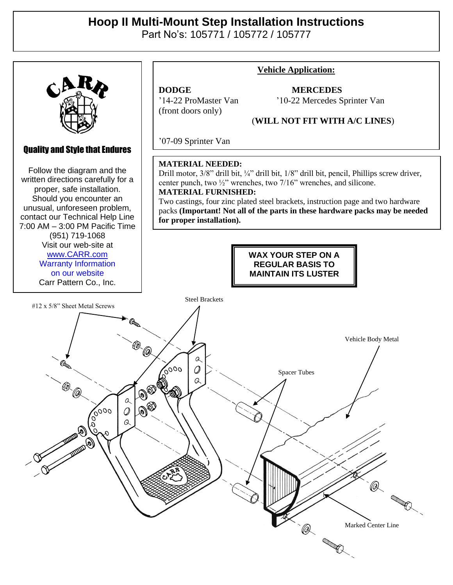## **Hoop II Multi-Mount Step Installation Instructions**

Part No's: 105771 / 105772 / 105777